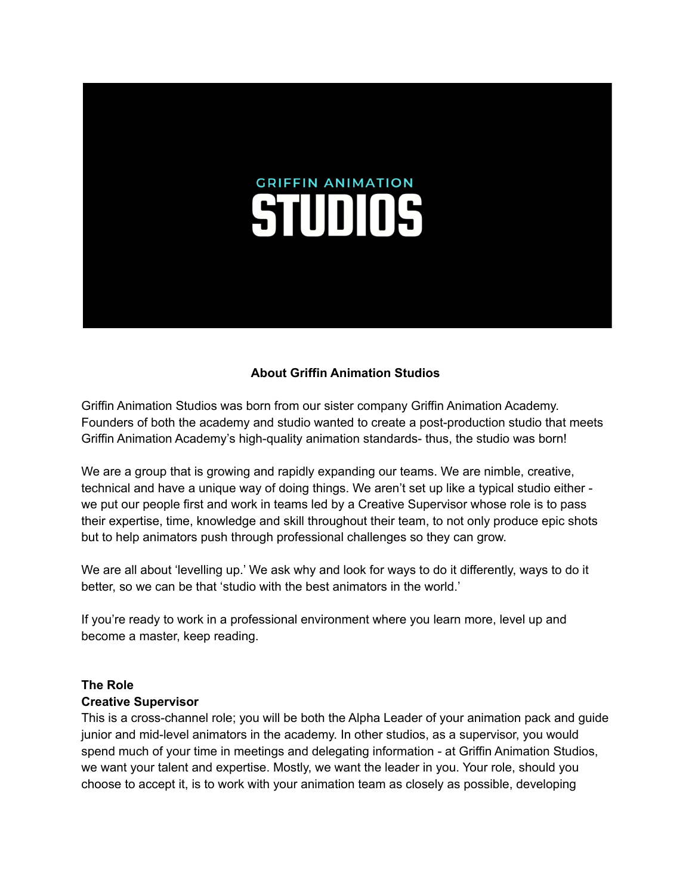# **GRIFFIN ANIMATION STUDIOS**

# **About Griffin Animation Studios**

Griffin Animation Studios was born from our sister company Griffin Animation Academy. Founders of both the academy and studio wanted to create a post-production studio that meets Griffin Animation Academy's high-quality animation standards- thus, the studio was born!

We are a group that is growing and rapidly expanding our teams. We are nimble, creative, technical and have a unique way of doing things. We aren't set up like a typical studio either we put our people first and work in teams led by a Creative Supervisor whose role is to pass their expertise, time, knowledge and skill throughout their team, to not only produce epic shots but to help animators push through professional challenges so they can grow.

We are all about 'levelling up.' We ask why and look for ways to do it differently, ways to do it better, so we can be that 'studio with the best animators in the world.'

If you're ready to work in a professional environment where you learn more, level up and become a master, keep reading.

#### **The Role Creative Supervisor**

This is a cross-channel role; you will be both the Alpha Leader of your animation pack and guide junior and mid-level animators in the academy. In other studios, as a supervisor, you would spend much of your time in meetings and delegating information - at Griffin Animation Studios, we want your talent and expertise. Mostly, we want the leader in you. Your role, should you choose to accept it, is to work with your animation team as closely as possible, developing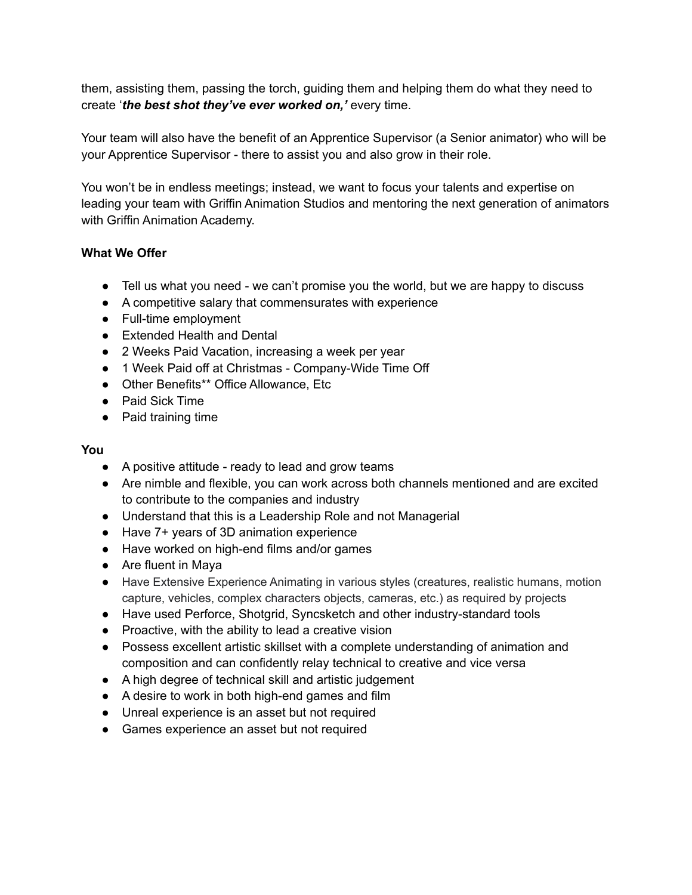them, assisting them, passing the torch, guiding them and helping them do what they need to create '*the best shot they've ever worked on,'* every time.

Your team will also have the benefit of an Apprentice Supervisor (a Senior animator) who will be your Apprentice Supervisor - there to assist you and also grow in their role.

You won't be in endless meetings; instead, we want to focus your talents and expertise on leading your team with Griffin Animation Studios and mentoring the next generation of animators with Griffin Animation Academy.

# **What We Offer**

- Tell us what you need we can't promise you the world, but we are happy to discuss
- A competitive salary that commensurates with experience
- Full-time employment
- Extended Health and Dental
- 2 Weeks Paid Vacation, increasing a week per year
- 1 Week Paid off at Christmas Company-Wide Time Off
- Other Benefits\*\* Office Allowance, Etc
- Paid Sick Time
- Paid training time

#### **You**

- A positive attitude ready to lead and grow teams
- Are nimble and flexible, you can work across both channels mentioned and are excited to contribute to the companies and industry
- Understand that this is a Leadership Role and not Managerial
- Have 7+ years of 3D animation experience
- Have worked on high-end films and/or games
- Are fluent in Maya
- Have Extensive Experience Animating in various styles (creatures, realistic humans, motion capture, vehicles, complex characters objects, cameras, etc.) as required by projects
- Have used Perforce, Shotgrid, Syncsketch and other industry-standard tools
- Proactive, with the ability to lead a creative vision
- Possess excellent artistic skillset with a complete understanding of animation and composition and can confidently relay technical to creative and vice versa
- A high degree of technical skill and artistic judgement
- A desire to work in both high-end games and film
- Unreal experience is an asset but not required
- Games experience an asset but not required